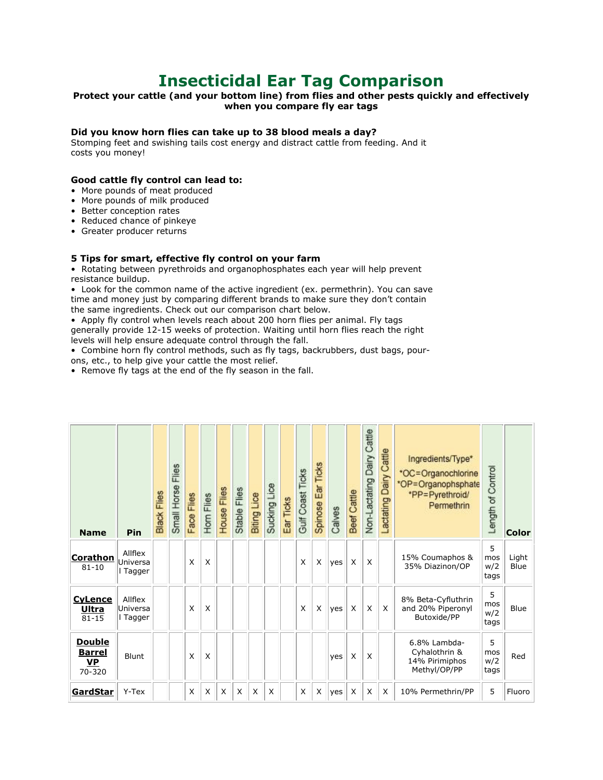# **Insecticidal Ear Tag Comparison**

## Protect your cattle (and your bottom line) from flies and other pests quickly and effectively **when you compare fly ear tags**

### **Did you know horn flies can take up to 38 blood meals a day?**

Stomping feet and swishing tails cost energy and distract cattle from feeding. And it costs you money!

### **Good cattle fly control can lead to:**

- More pounds of meat produced
- More pounds of milk produced
- Better conception rates
- Reduced chance of pinkeye
- Greater producer returns

#### **5 Tips for smart, effective fly control on your farm**

• Rotating between pyrethroids and organophosphates each year will help prevent resistance buildup.

• Look for the common name of the active ingredient (ex. permethrin). You can save time and money just by comparing different brands to make sure they don't contain the same ingredients. Check out our comparison chart below.

• Apply fly control when levels reach about 200 horn flies per animal. Fly tags generally provide 12-15 weeks of protection. Waiting until horn flies reach the right levels will help ensure adequate control through the fall.

• Combine horn fly control methods, such as fly tags, backrubbers, dust bags, pourons, etc., to help give your cattle the most relief.

• Remove fly tags at the end of the fly season in the fall.

| <b>Name</b>                                           | Pin                             | Black Flies | Flies<br>Small Horse | Face Flies | Hom Flies | House Flies | Stable Flies | <b>Biting Lice</b> | Sucking Lice | Ear Ticks | Gulf Coast Ticks | Spinose Ear Ticks | Calves | Beef Cattle | Non-Lactating Dairy Cattle | Cattle<br>Dairy<br>actating | Ingredients/Type*<br>*OC=Organochlorine<br>*OP=Organophsphate<br>*PP=Pyrethroid/<br>Permethrin | Length of Control       | <b>Color</b>  |
|-------------------------------------------------------|---------------------------------|-------------|----------------------|------------|-----------|-------------|--------------|--------------------|--------------|-----------|------------------|-------------------|--------|-------------|----------------------------|-----------------------------|------------------------------------------------------------------------------------------------|-------------------------|---------------|
| <u>Corathon</u><br>$81 - 10$                          | Allflex<br>Universa<br>Tagger   |             |                      | X          | $\times$  |             |              |                    |              |           | X                | X                 | yes    | X           | X                          |                             | 15% Coumaphos &<br>35% Diazinon/OP                                                             | 5<br>mos<br>w/2<br>tags | Light<br>Blue |
| <b>CyLence</b><br><u>Ultra</u><br>$81 - 15$           | Allflex<br>Universa<br>l Tagger |             |                      | X          | X         |             |              |                    |              |           | X                | X                 | yes    | X           | X                          | X                           | 8% Beta-Cyfluthrin<br>and 20% Piperonyl<br>Butoxide/PP                                         | 5<br>mos<br>w/2<br>tags | Blue          |
| <b>Double</b><br><b>Barrel</b><br><b>VP</b><br>70-320 | Blunt                           |             |                      | X          | X         |             |              |                    |              |           |                  |                   | yes    | X           | X                          |                             | 6.8% Lambda-<br>Cyhalothrin &<br>14% Pirimiphos<br>Methyl/OP/PP                                | 5<br>mos<br>w/2<br>tags | Red           |
| <b>GardStar</b>                                       | Y-Tex                           |             |                      | X          | X         | X           | X            | X                  | X            |           | X                | X                 | yes    | X           | X                          | X                           | 10% Permethrin/PP                                                                              | 5                       | Fluoro        |